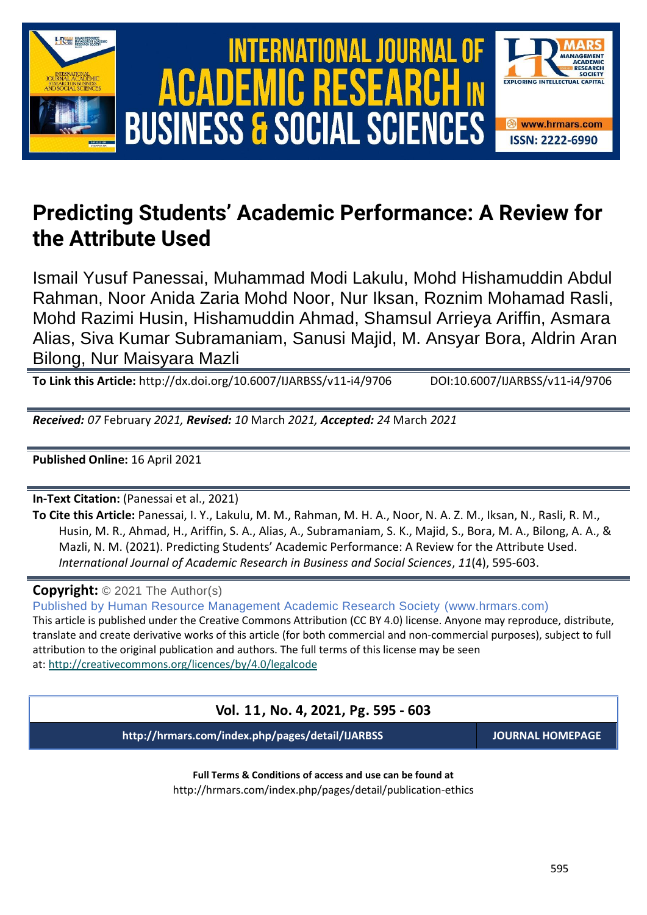

# **Predicting Students' Academic Performance: A Review for the Attribute Used**

Ismail Yusuf Panessai, Muhammad Modi Lakulu, Mohd Hishamuddin Abdul Rahman, Noor Anida Zaria Mohd Noor, Nur Iksan, Roznim Mohamad Rasli, Mohd Razimi Husin, Hishamuddin Ahmad, Shamsul Arrieya Ariffin, Asmara Alias, Siva Kumar Subramaniam, Sanusi Majid, M. Ansyar Bora, Aldrin Aran Bilong, Nur Maisyara Mazli

**To Link this Article:** http://dx.doi.org/10.6007/IJARBSS/v11-i4/9706 DOI:10.6007/IJARBSS/v11-i4/9706

*Received: 07* February *2021, Revised: 10* March *2021, Accepted: 24* March *2021*

**Published Online:** 16 April 2021

**In-Text Citation:** (Panessai et al., 2021)

**To Cite this Article:** Panessai, I. Y., Lakulu, M. M., Rahman, M. H. A., Noor, N. A. Z. M., Iksan, N., Rasli, R. M., Husin, M. R., Ahmad, H., Ariffin, S. A., Alias, A., Subramaniam, S. K., Majid, S., Bora, M. A., Bilong, A. A., & Mazli, N. M. (2021). Predicting Students' Academic Performance: A Review for the Attribute Used. *International Journal of Academic Research in Business and Social Sciences*, *11*(4), 595-603.

**Copyright:** © 2021 The Author(s)

Published by Human Resource Management Academic Research Society (www.hrmars.com) This article is published under the Creative Commons Attribution (CC BY 4.0) license. Anyone may reproduce, distribute, translate and create derivative works of this article (for both commercial and non-commercial purposes), subject to full attribution to the original publication and authors. The full terms of this license may be seen at: <http://creativecommons.org/licences/by/4.0/legalcode>

**Vol. 11, No. 4, 2021, Pg. 595 - 603**

**http://hrmars.com/index.php/pages/detail/IJARBSS JOURNAL HOMEPAGE**

**Full Terms & Conditions of access and use can be found at** http://hrmars.com/index.php/pages/detail/publication-ethics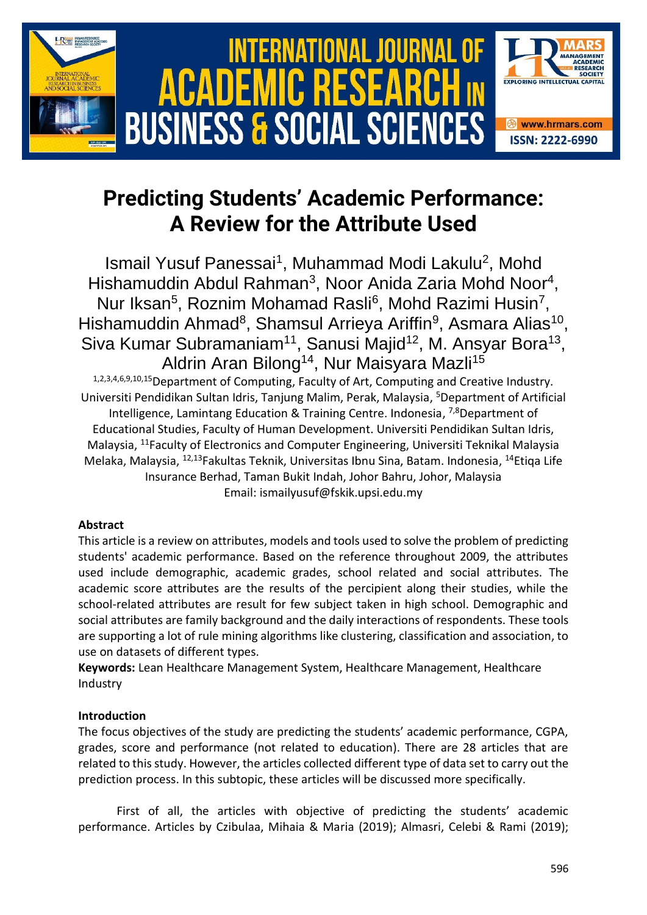

# **Predicting Students' Academic Performance: A Review for the Attribute Used**

Ismail Yusuf Panessai<sup>1</sup>, Muhammad Modi Lakulu<sup>2</sup>, Mohd Hishamuddin Abdul Rahman<sup>3</sup>, Noor Anida Zaria Mohd Noor<sup>4</sup>, Nur Iksan<sup>5</sup>, Roznim Mohamad Rasli<sup>6</sup>, Mohd Razimi Husin<sup>7</sup>, Hishamuddin Ahmad<sup>8</sup>, Shamsul Arrieya Ariffin<sup>9</sup>, Asmara Alias<sup>10</sup>, Siva Kumar Subramaniam<sup>11</sup>, Sanusi Majid<sup>12</sup>, M. Ansyar Bora<sup>13</sup>, Aldrin Aran Bilong<sup>14</sup>, Nur Maisyara Mazli<sup>15</sup>

1,2,3,4,6,9,10,15Department of Computing, Faculty of Art, Computing and Creative Industry. Universiti Pendidikan Sultan Idris, Tanjung Malim, Perak, Malaysia, <sup>5</sup>Department of Artificial Intelligence, Lamintang Education & Training Centre. Indonesia, <sup>7,8</sup>Department of Educational Studies, Faculty of Human Development. Universiti Pendidikan Sultan Idris, Malaysia, <sup>11</sup>Faculty of Electronics and Computer Engineering, Universiti Teknikal Malaysia Melaka, Malaysia, <sup>12,13</sup>Fakultas Teknik, Universitas Ibnu Sina, Batam. Indonesia, <sup>14</sup>Etiqa Life Insurance Berhad, Taman Bukit Indah, Johor Bahru, Johor, Malaysia Email: ismailyusuf@fskik.upsi.edu.my

## **Abstract**

This article is a review on attributes, models and tools used to solve the problem of predicting students' academic performance. Based on the reference throughout 2009, the attributes used include demographic, academic grades, school related and social attributes. The academic score attributes are the results of the percipient along their studies, while the school-related attributes are result for few subject taken in high school. Demographic and social attributes are family background and the daily interactions of respondents. These tools are supporting a lot of rule mining algorithms like clustering, classification and association, to use on datasets of different types.

**Keywords:** Lean Healthcare Management System, Healthcare Management, Healthcare Industry

## **Introduction**

The focus objectives of the study are predicting the students' academic performance, CGPA, grades, score and performance (not related to education). There are 28 articles that are related to this study. However, the articles collected different type of data set to carry out the prediction process. In this subtopic, these articles will be discussed more specifically.

First of all, the articles with objective of predicting the students' academic performance. Articles by Czibulaa, Mihaia & Maria (2019); Almasri, Celebi & Rami (2019);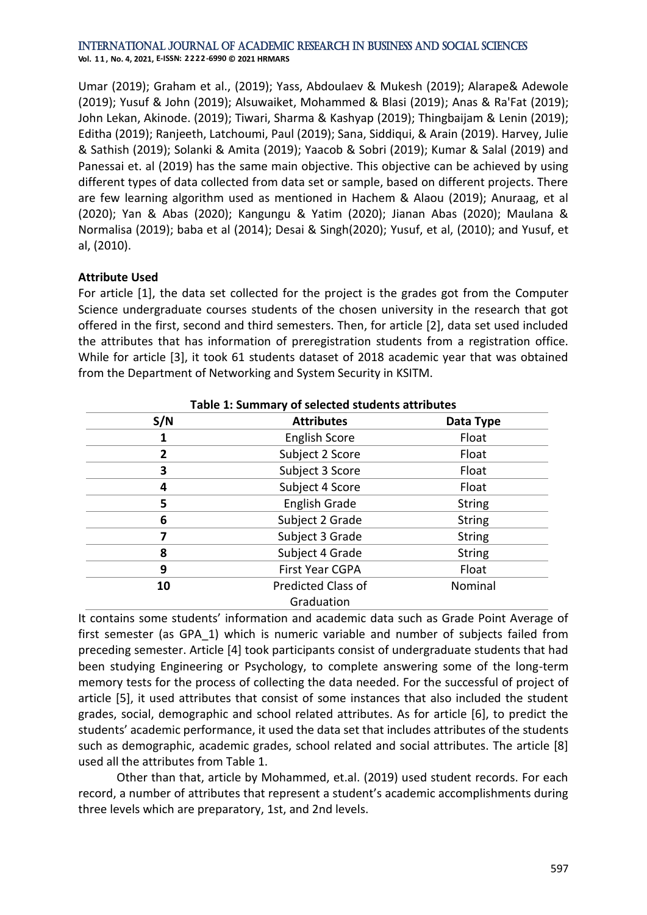International Journal of Academic Research in Business and Social Sciences **Vol. 1 1 , No. 4, 2021, E-ISSN: 2222-6990 © 2021 HRMARS**

Umar (2019); Graham et al., (2019); Yass, Abdoulaev & Mukesh (2019); Alarape& Adewole (2019); Yusuf & John (2019); Alsuwaiket, Mohammed & Blasi (2019); Anas & Ra'Fat (2019); John Lekan, Akinode. (2019); Tiwari, Sharma & Kashyap (2019); Thingbaijam & Lenin (2019); Editha (2019); Ranjeeth, Latchoumi, Paul (2019); Sana, Siddiqui, & Arain (2019). Harvey, Julie & Sathish (2019); Solanki & Amita (2019); Yaacob & Sobri (2019); Kumar & Salal (2019) and Panessai et. al (2019) has the same main objective. This objective can be achieved by using different types of data collected from data set or sample, based on different projects. There are few learning algorithm used as mentioned in Hachem & Alaou (2019); Anuraag, et al (2020); Yan & Abas (2020); Kangungu & Yatim (2020); Jianan Abas (2020); Maulana & Normalisa (2019); baba et al (2014); Desai & Singh(2020); Yusuf, et al, (2010); and Yusuf, et al, (2010).

### **Attribute Used**

For article [1], the data set collected for the project is the grades got from the Computer Science undergraduate courses students of the chosen university in the research that got offered in the first, second and third semesters. Then, for article [2], data set used included the attributes that has information of preregistration students from a registration office. While for article [3], it took 61 students dataset of 2018 academic year that was obtained from the Department of Networking and System Security in KSITM.

| S/N | <b>Attributes</b>         | Data Type     |
|-----|---------------------------|---------------|
| 1   | <b>English Score</b>      | Float         |
| 2   | Subject 2 Score           | Float         |
| 3   | Subject 3 Score           | Float         |
| 4   | Subject 4 Score           | Float         |
| 5   | English Grade             | <b>String</b> |
| 6   | Subject 2 Grade           | <b>String</b> |
| 7   | Subject 3 Grade           | <b>String</b> |
| 8   | Subject 4 Grade           | <b>String</b> |
| 9   | <b>First Year CGPA</b>    | Float         |
| 10  | <b>Predicted Class of</b> | Nominal       |
|     | Graduation                |               |

It contains some students' information and academic data such as Grade Point Average of first semester (as GPA\_1) which is numeric variable and number of subjects failed from preceding semester. Article [4] took participants consist of undergraduate students that had been studying Engineering or Psychology, to complete answering some of the long-term memory tests for the process of collecting the data needed. For the successful of project of article [5], it used attributes that consist of some instances that also included the student grades, social, demographic and school related attributes. As for article [6], to predict the students' academic performance, it used the data set that includes attributes of the students such as demographic, academic grades, school related and social attributes. The article [8] used all the attributes from Table 1.

Other than that, article by Mohammed, et.al. (2019) used student records. For each record, a number of attributes that represent a student's academic accomplishments during three levels which are preparatory, 1st, and 2nd levels.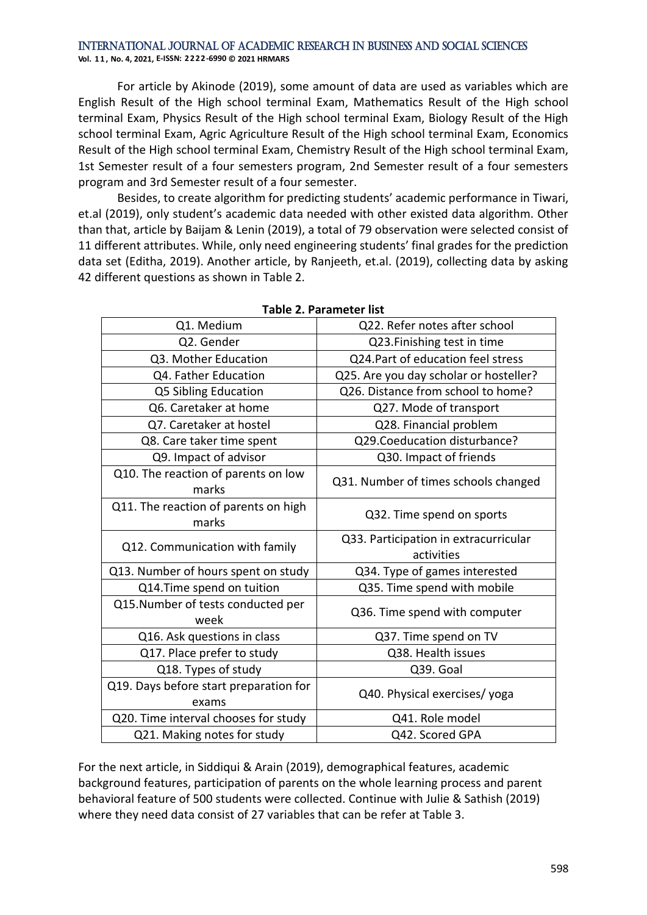#### International Journal of Academic Research in Business and Social Sciences **Vol. 1 1 , No. 4, 2021, E-ISSN: 2222-6990 © 2021 HRMARS**

For article by Akinode (2019), some amount of data are used as variables which are English Result of the High school terminal Exam, Mathematics Result of the High school terminal Exam, Physics Result of the High school terminal Exam, Biology Result of the High school terminal Exam, Agric Agriculture Result of the High school terminal Exam, Economics Result of the High school terminal Exam, Chemistry Result of the High school terminal Exam, 1st Semester result of a four semesters program, 2nd Semester result of a four semesters program and 3rd Semester result of a four semester.

Besides, to create algorithm for predicting students' academic performance in Tiwari, et.al (2019), only student's academic data needed with other existed data algorithm. Other than that, article by Baijam & Lenin (2019), a total of 79 observation were selected consist of 11 different attributes. While, only need engineering students' final grades for the prediction data set (Editha, 2019). Another article, by Ranjeeth, et.al. (2019), collecting data by asking 42 different questions as shown in Table 2.

| Q1. Medium                                      | Q22. Refer notes after school                       |  |
|-------------------------------------------------|-----------------------------------------------------|--|
| Q2. Gender                                      | Q23. Finishing test in time                         |  |
| Q3. Mother Education                            | Q24.Part of education feel stress                   |  |
| Q4. Father Education                            | Q25. Are you day scholar or hosteller?              |  |
| Q5 Sibling Education                            | Q26. Distance from school to home?                  |  |
| Q6. Caretaker at home                           | Q27. Mode of transport                              |  |
| Q7. Caretaker at hostel                         | Q28. Financial problem                              |  |
| Q8. Care taker time spent                       | Q29.Coeducation disturbance?                        |  |
| Q9. Impact of advisor                           | Q30. Impact of friends                              |  |
| Q10. The reaction of parents on low<br>marks    | Q31. Number of times schools changed                |  |
| Q11. The reaction of parents on high<br>marks   | Q32. Time spend on sports                           |  |
| Q12. Communication with family                  | Q33. Participation in extracurricular<br>activities |  |
| Q13. Number of hours spent on study             | Q34. Type of games interested                       |  |
| Q14.Time spend on tuition                       | Q35. Time spend with mobile                         |  |
| Q15.Number of tests conducted per<br>week       | Q36. Time spend with computer                       |  |
| Q16. Ask questions in class                     | Q37. Time spend on TV                               |  |
| Q17. Place prefer to study                      | Q38. Health issues                                  |  |
| Q18. Types of study                             | Q39. Goal                                           |  |
| Q19. Days before start preparation for<br>exams | Q40. Physical exercises/yoga                        |  |
| Q20. Time interval chooses for study            | Q41. Role model                                     |  |
| Q21. Making notes for study                     | Q42. Scored GPA                                     |  |
|                                                 |                                                     |  |

**Table 2. Parameter list**

For the next article, in Siddiqui & Arain (2019), demographical features, academic background features, participation of parents on the whole learning process and parent behavioral feature of 500 students were collected. Continue with Julie & Sathish (2019) where they need data consist of 27 variables that can be refer at Table 3.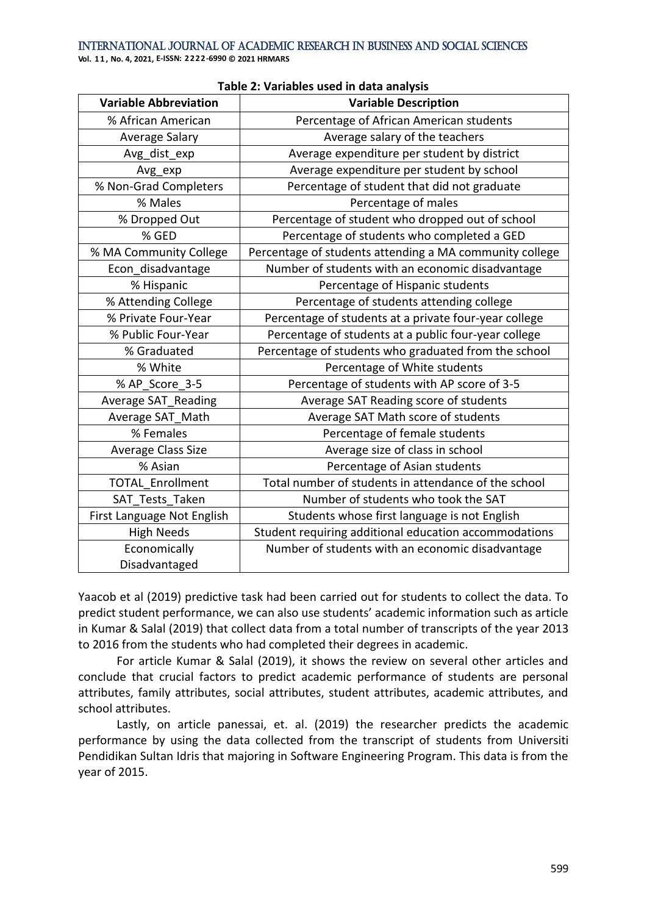| <b>Variable Abbreviation</b> |                                                         |  |
|------------------------------|---------------------------------------------------------|--|
|                              | <b>Variable Description</b>                             |  |
| % African American           | Percentage of African American students                 |  |
| Average Salary               | Average salary of the teachers                          |  |
| Avg_dist_exp                 | Average expenditure per student by district             |  |
| Avg_exp                      | Average expenditure per student by school               |  |
| % Non-Grad Completers        | Percentage of student that did not graduate             |  |
| % Males                      | Percentage of males                                     |  |
| % Dropped Out                | Percentage of student who dropped out of school         |  |
| % GED                        | Percentage of students who completed a GED              |  |
| % MA Community College       | Percentage of students attending a MA community college |  |
| Econ disadvantage            | Number of students with an economic disadvantage        |  |
| % Hispanic                   | Percentage of Hispanic students                         |  |
| % Attending College          | Percentage of students attending college                |  |
| % Private Four-Year          | Percentage of students at a private four-year college   |  |
| % Public Four-Year           | Percentage of students at a public four-year college    |  |
| % Graduated                  | Percentage of students who graduated from the school    |  |
| % White                      | Percentage of White students                            |  |
| % AP_Score_3-5               | Percentage of students with AP score of 3-5             |  |
| <b>Average SAT_Reading</b>   | Average SAT Reading score of students                   |  |
| Average SAT_Math             | Average SAT Math score of students                      |  |
| % Females                    | Percentage of female students                           |  |
| Average Class Size           | Average size of class in school                         |  |
| % Asian                      | Percentage of Asian students                            |  |
| <b>TOTAL Enrollment</b>      | Total number of students in attendance of the school    |  |
| SAT Tests Taken              | Number of students who took the SAT                     |  |
| First Language Not English   | Students whose first language is not English            |  |
| <b>High Needs</b>            | Student requiring additional education accommodations   |  |
| Economically                 | Number of students with an economic disadvantage        |  |
| Disadvantaged                |                                                         |  |

#### **Table 2: Variables used in data analysis**

Yaacob et al (2019) predictive task had been carried out for students to collect the data. To predict student performance, we can also use students' academic information such as article in Kumar & Salal (2019) that collect data from a total number of transcripts of the year 2013 to 2016 from the students who had completed their degrees in academic.

For article Kumar & Salal (2019), it shows the review on several other articles and conclude that crucial factors to predict academic performance of students are personal attributes, family attributes, social attributes, student attributes, academic attributes, and school attributes.

Lastly, on article panessai, et. al. (2019) the researcher predicts the academic performance by using the data collected from the transcript of students from Universiti Pendidikan Sultan Idris that majoring in Software Engineering Program. This data is from the year of 2015.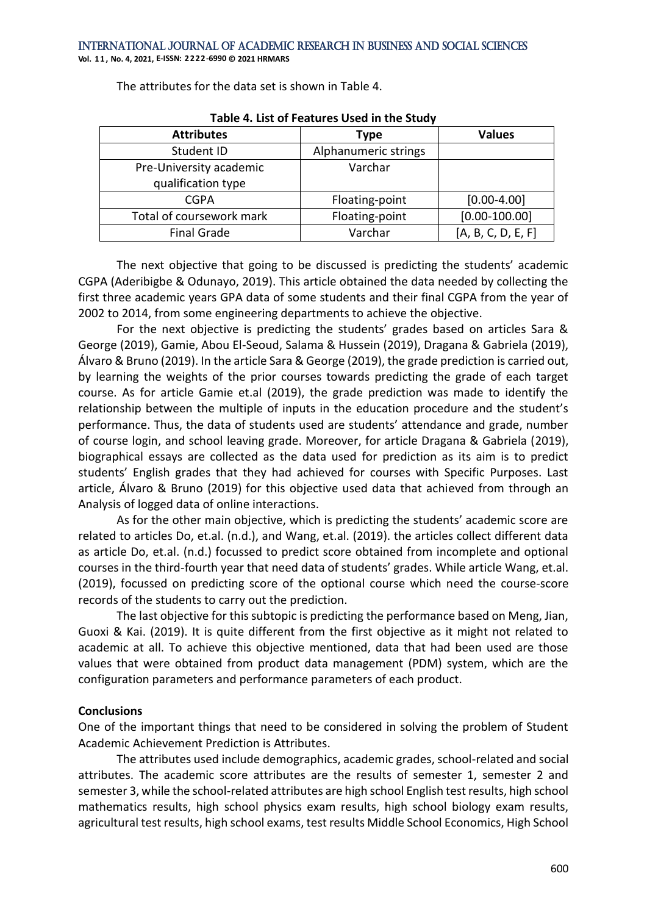**Vol. 1 1 , No. 4, 2021, E-ISSN: 2222-6990 © 2021 HRMARS**

The attributes for the data set is shown in Table 4.

| <b>Attributes</b>        | <b>Type</b>          | <b>Values</b>      |  |  |  |
|--------------------------|----------------------|--------------------|--|--|--|
| Student ID               | Alphanumeric strings |                    |  |  |  |
| Pre-University academic  | Varchar              |                    |  |  |  |
| qualification type       |                      |                    |  |  |  |
| <b>CGPA</b>              | Floating-point       | $[0.00 - 4.00]$    |  |  |  |
| Total of coursework mark | Floating-point       | $[0.00 - 100.00]$  |  |  |  |
| <b>Final Grade</b>       | Varchar              | [A, B, C, D, E, F] |  |  |  |

**Table 4. List of Features Used in the Study**

The next objective that going to be discussed is predicting the students' academic CGPA (Aderibigbe & Odunayo, 2019). This article obtained the data needed by collecting the first three academic years GPA data of some students and their final CGPA from the year of 2002 to 2014, from some engineering departments to achieve the objective.

For the next objective is predicting the students' grades based on articles Sara & George (2019), Gamie, Abou El-Seoud, Salama & Hussein (2019), Dragana & Gabriela (2019), Álvaro & Bruno (2019). In the article Sara & George (2019), the grade prediction is carried out, by learning the weights of the prior courses towards predicting the grade of each target course. As for article Gamie et.al (2019), the grade prediction was made to identify the relationship between the multiple of inputs in the education procedure and the student's performance. Thus, the data of students used are students' attendance and grade, number of course login, and school leaving grade. Moreover, for article Dragana & Gabriela (2019), biographical essays are collected as the data used for prediction as its aim is to predict students' English grades that they had achieved for courses with Specific Purposes. Last article, Álvaro & Bruno (2019) for this objective used data that achieved from through an Analysis of logged data of online interactions.

As for the other main objective, which is predicting the students' academic score are related to articles Do, et.al. (n.d.), and Wang, et.al. (2019). the articles collect different data as article Do, et.al. (n.d.) focussed to predict score obtained from incomplete and optional courses in the third-fourth year that need data of students' grades. While article Wang, et.al. (2019), focussed on predicting score of the optional course which need the course-score records of the students to carry out the prediction.

The last objective for this subtopic is predicting the performance based on Meng, Jian, Guoxi & Kai. (2019). It is quite different from the first objective as it might not related to academic at all. To achieve this objective mentioned, data that had been used are those values that were obtained from product data management (PDM) system, which are the configuration parameters and performance parameters of each product.

## **Conclusions**

One of the important things that need to be considered in solving the problem of Student Academic Achievement Prediction is Attributes.

The attributes used include demographics, academic grades, school-related and social attributes. The academic score attributes are the results of semester 1, semester 2 and semester 3, while the school-related attributes are high school English test results, high school mathematics results, high school physics exam results, high school biology exam results, agricultural test results, high school exams, test results Middle School Economics, High School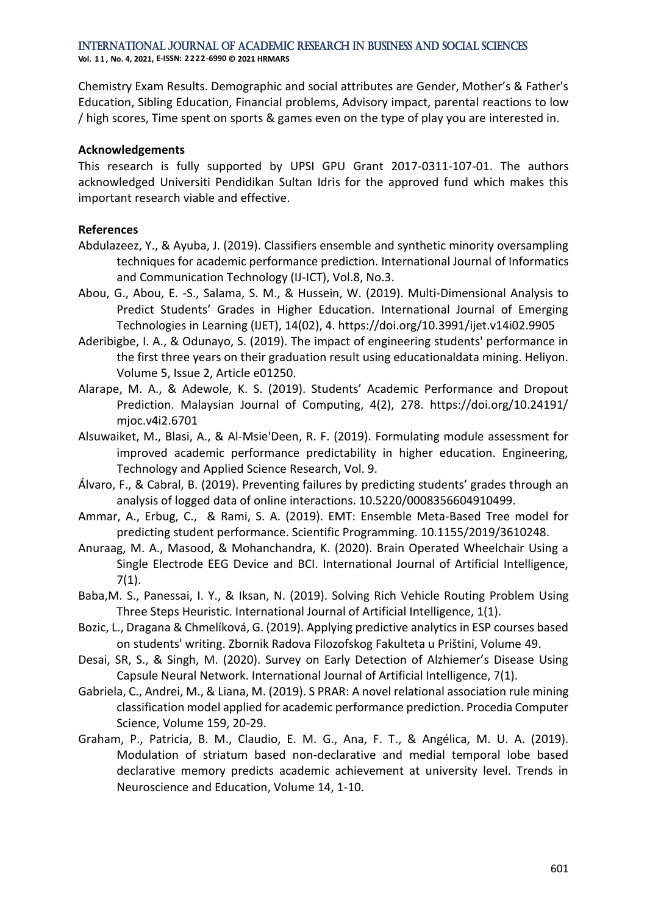International Journal of Academic Research in Business and Social Sciences

**Vol. 1 1 , No. 4, 2021, E-ISSN: 2222-6990 © 2021 HRMARS**

Chemistry Exam Results. Demographic and social attributes are Gender, Mother's & Father's Education, Sibling Education, Financial problems, Advisory impact, parental reactions to low / high scores, Time spent on sports & games even on the type of play you are interested in.

#### **Acknowledgements**

This research is fully supported by UPSI GPU Grant 2017-0311-107-01. The authors acknowledged Universiti Pendidikan Sultan Idris for the approved fund which makes this important research viable and effective.

#### **References**

- Abdulazeez, Y., & Ayuba, J. (2019). Classifiers ensemble and synthetic minority oversampling techniques for academic performance prediction. International Journal of Informatics and Communication Technology (IJ-ICT), Vol.8, No.3.
- Abou, G., Abou, E. -S., Salama, S. M., & Hussein, W. (2019). Multi-Dimensional Analysis to Predict Students' Grades in Higher Education. International Journal of Emerging Technologies in Learning (IJET), 14(02), 4. https://doi.org/10.3991/ijet.v14i02.9905
- Aderibigbe, I. A., & Odunayo, S. (2019). The impact of engineering students' performance in the first three years on their graduation result using educationaldata mining. Heliyon. Volume 5, Issue 2, Article e01250.
- Alarape, M. A., & Adewole, K. S. (2019). Students' Academic Performance and Dropout Prediction. Malaysian Journal of Computing, 4(2), 278. https://doi.org/10.24191/ mjoc.v4i2.6701
- Alsuwaiket, M., Blasi, A., & Al-Msie'Deen, R. F. (2019). Formulating module assessment for improved academic performance predictability in higher education. Engineering, Technology and Applied Science Research, Vol. 9.
- Álvaro, F., & Cabral, B. (2019). Preventing failures by predicting students' grades through an analysis of logged data of online interactions. 10.5220/0008356604910499.
- Ammar, A., Erbug, C., & Rami, S. A. (2019). EMT: Ensemble Meta-Based Tree model for predicting student performance. Scientific Programming. 10.1155/2019/3610248.
- Anuraag, M. A., Masood, & Mohanchandra, K. (2020). Brain Operated Wheelchair Using a Single Electrode EEG Device and BCI. International Journal of Artificial Intelligence, 7(1).
- Baba,M. S., Panessai, I. Y., & Iksan, N. (2019). Solving Rich Vehicle Routing Problem Using Three Steps Heuristic. International Journal of Artificial Intelligence, 1(1).
- Bozic, L., Dragana & Chmelíková, G. (2019). Applying predictive analytics in ESP courses based on students' writing. Zbornik Radova Filozofskog Fakulteta u Prištini, Volume 49.
- Desai, SR, S., & Singh, M. (2020). Survey on Early Detection of Alzhiemer's Disease Using Capsule Neural Network. International Journal of Artificial Intelligence, 7(1).
- Gabriela, C., Andrei, M., & Liana, M. (2019). S PRAR: A novel relational association rule mining classification model applied for academic performance prediction. Procedia Computer Science, Volume 159, 20-29.
- Graham, P., Patricia, B. M., Claudio, E. M. G., Ana, F. T., & Angélica, M. U. A. (2019). Modulation of striatum based non-declarative and medial temporal lobe based declarative memory predicts academic achievement at university level. Trends in Neuroscience and Education, Volume 14, 1-10.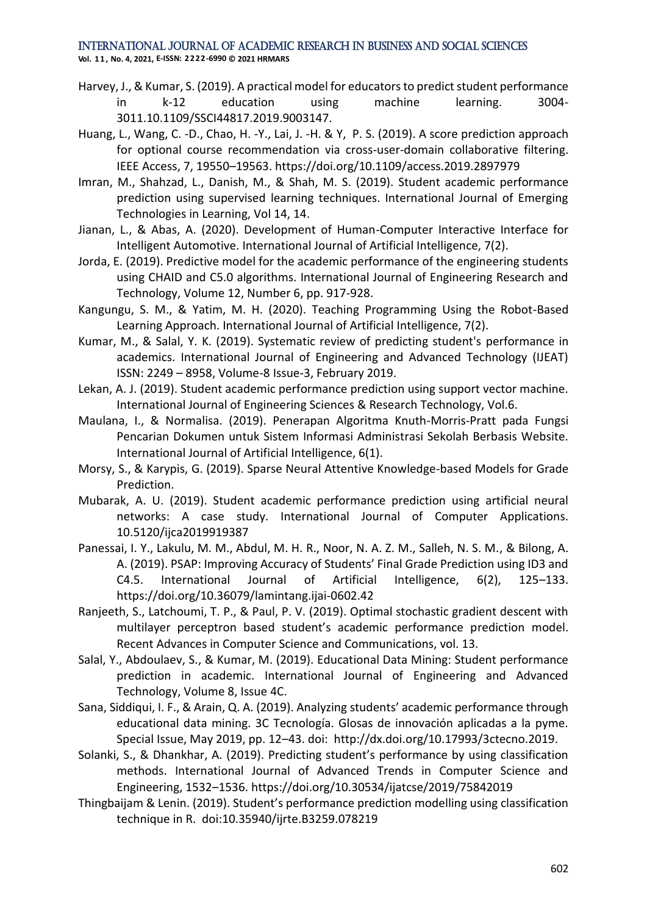## International Journal of Academic Research in Business and Social Sciences

**Vol. 1 1 , No. 4, 2021, E-ISSN: 2222-6990 © 2021 HRMARS**

- Harvey, J., & Kumar, S. (2019). A practical model for educators to predict student performance in k-12 education using machine learning. 3004- 3011.10.1109/SSCI44817.2019.9003147.
- Huang, L., Wang, C. -D., Chao, H. -Y., Lai, J. -H. & Y, P. S. (2019). A score prediction approach for optional course recommendation via cross-user-domain collaborative filtering. IEEE Access, 7, 19550–19563. https://doi.org/10.1109/access.2019.2897979
- Imran, M., Shahzad, L., Danish, M., & Shah, M. S. (2019). Student academic performance prediction using supervised learning techniques. International Journal of Emerging Technologies in Learning, Vol 14, 14.
- Jianan, L., & Abas, A. (2020). Development of Human-Computer Interactive Interface for Intelligent Automotive. International Journal of Artificial Intelligence, 7(2).
- Jorda, E. (2019). Predictive model for the academic performance of the engineering students using CHAID and C5.0 algorithms. International Journal of Engineering Research and Technology, Volume 12, Number 6, pp. 917-928.
- Kangungu, S. M., & Yatim, M. H. (2020). Teaching Programming Using the Robot-Based Learning Approach. International Journal of Artificial Intelligence, 7(2).
- Kumar, M., & Salal, Y. K. (2019). Systematic review of predicting student's performance in academics. International Journal of Engineering and Advanced Technology (IJEAT) ISSN: 2249 – 8958, Volume-8 Issue-3, February 2019.
- Lekan, A. J. (2019). Student academic performance prediction using support vector machine. International Journal of Engineering Sciences & Research Technology, Vol.6.
- Maulana, I., & Normalisa. (2019). Penerapan Algoritma Knuth-Morris-Pratt pada Fungsi Pencarian Dokumen untuk Sistem Informasi Administrasi Sekolah Berbasis Website. International Journal of Artificial Intelligence, 6(1).
- Morsy, S., & Karypis, G. (2019). Sparse Neural Attentive Knowledge-based Models for Grade Prediction.
- Mubarak, A. U. (2019). Student academic performance prediction using artificial neural networks: A case study. International Journal of Computer Applications. 10.5120/ijca2019919387
- Panessai, I. Y., Lakulu, M. M., Abdul, M. H. R., Noor, N. A. Z. M., Salleh, N. S. M., & Bilong, A. A. (2019). PSAP: Improving Accuracy of Students' Final Grade Prediction using ID3 and C4.5. International Journal of Artificial Intelligence, 6(2), 125–133. https://doi.org/10.36079/lamintang.ijai-0602.42
- Ranjeeth, S., Latchoumi, T. P., & Paul, P. V. (2019). Optimal stochastic gradient descent with multilayer perceptron based student's academic performance prediction model. Recent Advances in Computer Science and Communications, vol. 13.
- Salal, Y., Abdoulaev, S., & Kumar, M. (2019). Educational Data Mining: Student performance prediction in academic. International Journal of Engineering and Advanced Technology, Volume 8, Issue 4C.
- Sana, Siddiqui, I. F., & Arain, Q. A. (2019). Analyzing students' academic performance through educational data mining. 3C Tecnología. Glosas de innovación aplicadas a la pyme. Special Issue, May 2019, pp. 12–43. doi: http://dx.doi.org/10.17993/3ctecno.2019.
- Solanki, S., & Dhankhar, A. (2019). Predicting student's performance by using classification methods. International Journal of Advanced Trends in Computer Science and Engineering, 1532–1536. https://doi.org/10.30534/ijatcse/2019/75842019
- Thingbaijam & Lenin. (2019). Student's performance prediction modelling using classification technique in R. doi:10.35940/ijrte.B3259.078219